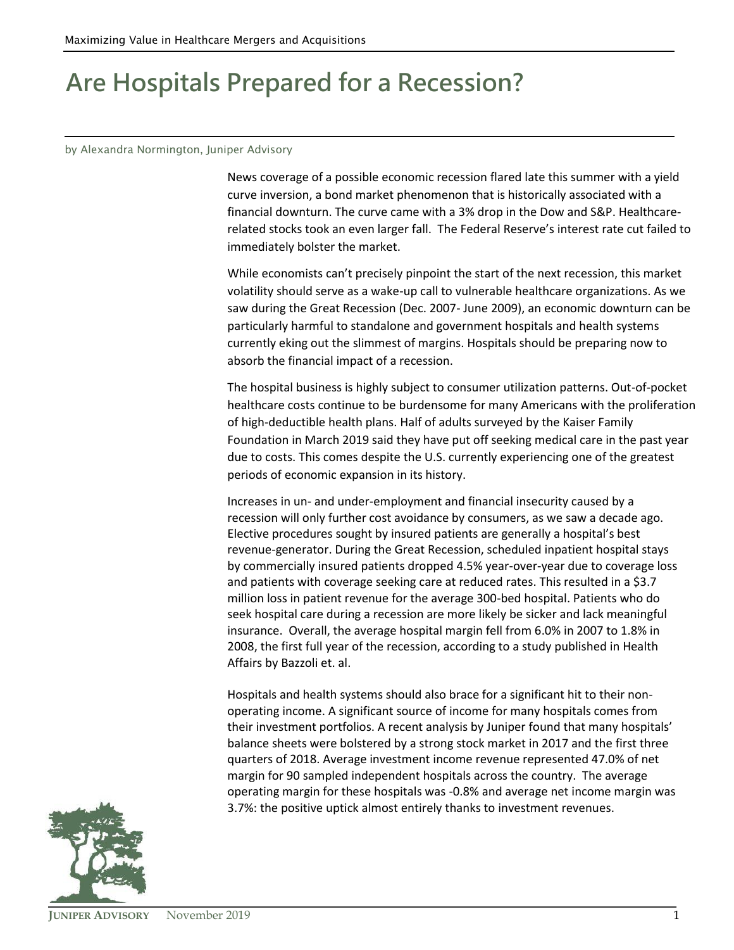## **Are Hospitals Prepared for a Recession?**

## by Alexandra Normington, Juniper Advisory

News coverage of a possible economic recession flared late this summer with a yield curve inversion, a bond market phenomenon that is historically associated with a financial downturn. The curve came with a 3% drop in the Dow and S&P. Healthcarerelated stocks took an even larger fall. The Federal Reserve's interest rate cut failed to immediately bolster the market.

While economists can't precisely pinpoint the start of the next recession, this market volatility should serve as a wake-up call to vulnerable healthcare organizations. As we saw during the Great Recession (Dec. 2007- June 2009), an economic downturn can be particularly harmful to standalone and government hospitals and health systems currently eking out the slimmest of margins. Hospitals should be preparing now to absorb the financial impact of a recession.

The hospital business is highly subject to consumer utilization patterns. Out-of-pocket healthcare costs continue to be burdensome for many Americans with the proliferation of high-deductible health plans. Half of adults surveyed by the Kaiser Family Foundation in March 2019 said they have put off seeking medical care in the past year due to costs. This comes despite the U.S. currently experiencing one of the greatest periods of economic expansion in its history.

Increases in un- and under-employment and financial insecurity caused by a recession will only further cost avoidance by consumers, as we saw a decade ago. Elective procedures sought by insured patients are generally a hospital's best revenue-generator. During the Great Recession, scheduled inpatient hospital stays by commercially insured patients dropped 4.5% year-over-year due to coverage loss and patients with coverage seeking care at reduced rates. This resulted in a \$3.7 million loss in patient revenue for the average 300-bed hospital. Patients who do seek hospital care during a recession are more likely be sicker and lack meaningful insurance. Overall, the average hospital margin fell from 6.0% in 2007 to 1.8% in 2008, the first full year of the recession, according to a study published in Health Affairs by Bazzoli et. al.

Hospitals and health systems should also brace for a significant hit to their nonoperating income. A significant source of income for many hospitals comes from their investment portfolios. A recent analysis by Juniper found that many hospitals' balance sheets were bolstered by a strong stock market in 2017 and the first three quarters of 2018. Average investment income revenue represented 47.0% of net margin for 90 sampled independent hospitals across the country. The average operating margin for these hospitals was -0.8% and average net income margin was 3.7%: the positive uptick almost entirely thanks to investment revenues.